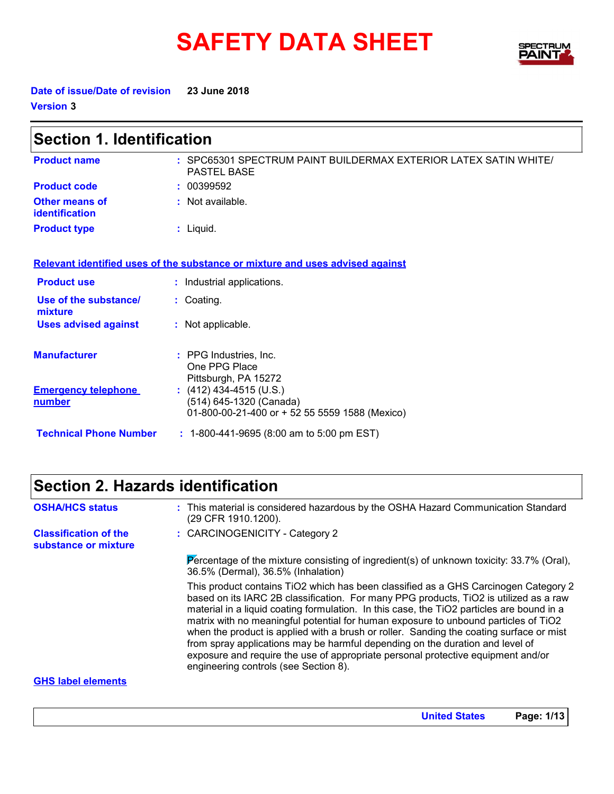# **SAFETY DATA SHEET**



**Date of issue/Date of revision 23 June 2018 Version 3**

| <b>Section 1. Identification</b>        |                                                                                                        |  |  |
|-----------------------------------------|--------------------------------------------------------------------------------------------------------|--|--|
| <b>Product name</b>                     | : SPC65301 SPECTRUM PAINT BUILDERMAX EXTERIOR LATEX SATIN WHITE/<br><b>PASTEL BASE</b>                 |  |  |
| <b>Product code</b>                     | : 00399592                                                                                             |  |  |
| Other means of<br><b>identification</b> | : Not available.                                                                                       |  |  |
| <b>Product type</b>                     | $:$ Liquid.                                                                                            |  |  |
|                                         | Relevant identified uses of the substance or mixture and uses advised against                          |  |  |
| <b>Product use</b>                      | : Industrial applications.                                                                             |  |  |
| Use of the substance/<br>mixture        | : Coating.                                                                                             |  |  |
| <b>Uses advised against</b>             | : Not applicable.                                                                                      |  |  |
| <b>Manufacturer</b>                     | : PPG Industries, Inc.<br>One PPG Place<br>Pittsburgh, PA 15272                                        |  |  |
| <b>Emergency telephone</b><br>number    | : $(412)$ 434-4515 (U.S.)<br>(514) 645-1320 (Canada)<br>01-800-00-21-400 or + 52 55 5559 1588 (Mexico) |  |  |
| <b>Technical Phone Number</b>           | : 1-800-441-9695 (8:00 am to 5:00 pm EST)                                                              |  |  |

## **Section 2. Hazards identification**

| <b>OSHA/HCS status</b>                               | : This material is considered hazardous by the OSHA Hazard Communication Standard<br>(29 CFR 1910.1200).                                                                                                                                                                                                                                                                                                                                                                                                                                                                                                                                                                  |
|------------------------------------------------------|---------------------------------------------------------------------------------------------------------------------------------------------------------------------------------------------------------------------------------------------------------------------------------------------------------------------------------------------------------------------------------------------------------------------------------------------------------------------------------------------------------------------------------------------------------------------------------------------------------------------------------------------------------------------------|
| <b>Classification of the</b><br>substance or mixture | : CARCINOGENICITY - Category 2                                                                                                                                                                                                                                                                                                                                                                                                                                                                                                                                                                                                                                            |
|                                                      | Percentage of the mixture consisting of ingredient(s) of unknown toxicity: $33.7\%$ (Oral),<br>36.5% (Dermal), 36.5% (Inhalation)                                                                                                                                                                                                                                                                                                                                                                                                                                                                                                                                         |
|                                                      | This product contains TiO2 which has been classified as a GHS Carcinogen Category 2<br>based on its IARC 2B classification. For many PPG products, TiO2 is utilized as a raw<br>material in a liquid coating formulation. In this case, the TiO2 particles are bound in a<br>matrix with no meaningful potential for human exposure to unbound particles of TiO2<br>when the product is applied with a brush or roller. Sanding the coating surface or mist<br>from spray applications may be harmful depending on the duration and level of<br>exposure and require the use of appropriate personal protective equipment and/or<br>engineering controls (see Section 8). |
| <b>GHS</b> label elements                            |                                                                                                                                                                                                                                                                                                                                                                                                                                                                                                                                                                                                                                                                           |

#### **GHS label elements**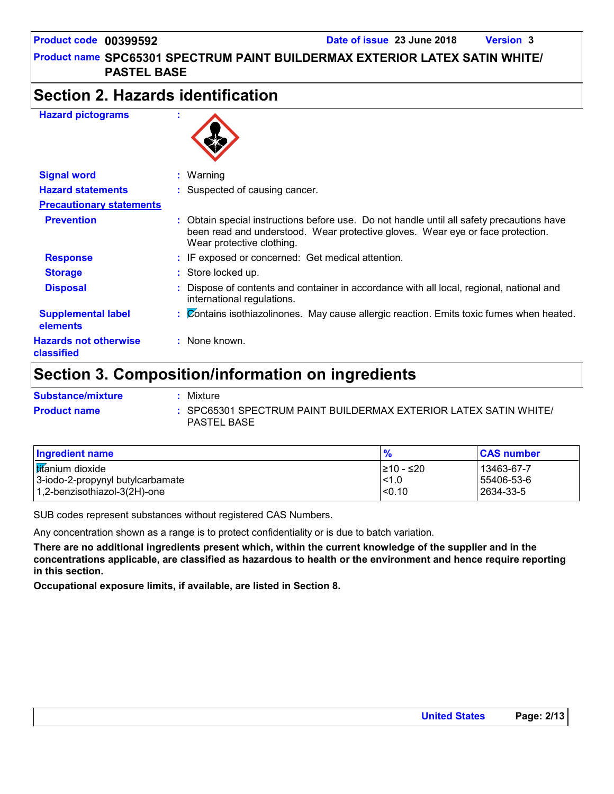**PASTEL BASE**

### **Section 2. Hazards identification**

#### **Hazard pictograms :**



| <b>Signal word</b>                         | $:$ Warning                                                                                                                                                                                            |  |
|--------------------------------------------|--------------------------------------------------------------------------------------------------------------------------------------------------------------------------------------------------------|--|
| <b>Hazard statements</b>                   | : Suspected of causing cancer.                                                                                                                                                                         |  |
| <b>Precautionary statements</b>            |                                                                                                                                                                                                        |  |
| <b>Prevention</b>                          | Obtain special instructions before use. Do not handle until all safety precautions have<br>been read and understood. Wear protective gloves. Wear eye or face protection.<br>Wear protective clothing. |  |
| <b>Response</b>                            | : IF exposed or concerned: Get medical attention.                                                                                                                                                      |  |
| <b>Storage</b>                             | : Store locked up.                                                                                                                                                                                     |  |
| <b>Disposal</b>                            | Dispose of contents and container in accordance with all local, regional, national and<br>international regulations.                                                                                   |  |
| <b>Supplemental label</b><br>elements      | : Contains isothiazolinones. May cause allergic reaction. Emits toxic fumes when heated.                                                                                                               |  |
| <b>Hazards not otherwise</b><br>classified | $:$ None known.                                                                                                                                                                                        |  |
|                                            |                                                                                                                                                                                                        |  |

## **Section 3. Composition/information on ingredients**

| <b>Substance/mixture</b> | Mixture                                                                                |
|--------------------------|----------------------------------------------------------------------------------------|
| <b>Product name</b>      | : SPC65301 SPECTRUM PAINT BUILDERMAX EXTERIOR LATEX SATIN WHITE/<br><b>PASTEL BASE</b> |

| Ingredient name                  | $\frac{9}{6}$ | <b>CAS number</b> |
|----------------------------------|---------------|-------------------|
| <b>It</b> anium dioxide          | I≥10 - ≤20    | 13463-67-7        |
| 3-iodo-2-propynyl butylcarbamate | < 1.0         | 55406-53-6        |
| 1,2-benzisothiazol-3(2H)-one     | < 0.10        | 2634-33-5         |

SUB codes represent substances without registered CAS Numbers.

Any concentration shown as a range is to protect confidentiality or is due to batch variation.

**There are no additional ingredients present which, within the current knowledge of the supplier and in the concentrations applicable, are classified as hazardous to health or the environment and hence require reporting in this section.**

**Occupational exposure limits, if available, are listed in Section 8.**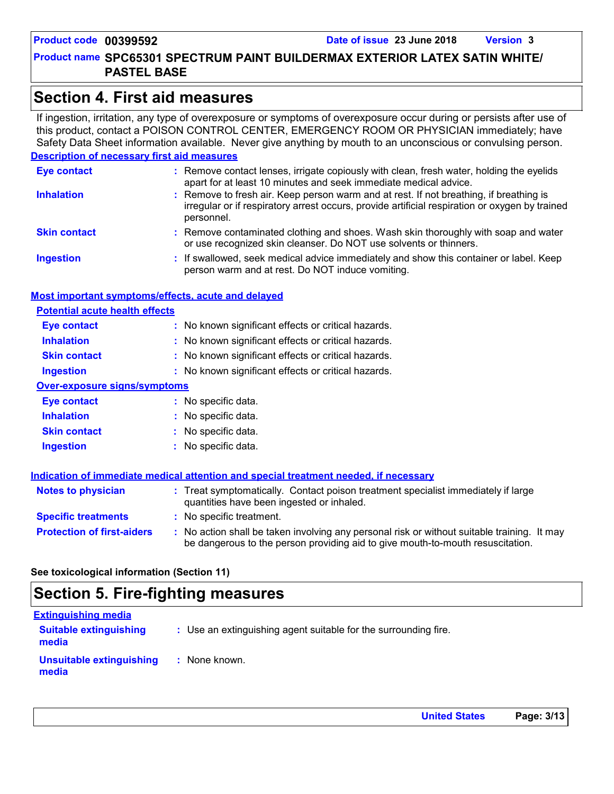### **Section 4. First aid measures**

If ingestion, irritation, any type of overexposure or symptoms of overexposure occur during or persists after use of this product, contact a POISON CONTROL CENTER, EMERGENCY ROOM OR PHYSICIAN immediately; have Safety Data Sheet information available. Never give anything by mouth to an unconscious or convulsing person.

#### **Description of necessary first aid measures**

| <b>Eye contact</b>  | : Remove contact lenses, irrigate copiously with clean, fresh water, holding the eyelids<br>apart for at least 10 minutes and seek immediate medical advice.                                           |
|---------------------|--------------------------------------------------------------------------------------------------------------------------------------------------------------------------------------------------------|
| <b>Inhalation</b>   | : Remove to fresh air. Keep person warm and at rest. If not breathing, if breathing is<br>irregular or if respiratory arrest occurs, provide artificial respiration or oxygen by trained<br>personnel. |
| <b>Skin contact</b> | : Remove contaminated clothing and shoes. Wash skin thoroughly with soap and water<br>or use recognized skin cleanser. Do NOT use solvents or thinners.                                                |
| <b>Ingestion</b>    | : If swallowed, seek medical advice immediately and show this container or label. Keep<br>person warm and at rest. Do NOT induce vomiting.                                                             |

#### **Most important symptoms/effects, acute and delayed**

| <b>Potential acute health effects</b> |                                                     |
|---------------------------------------|-----------------------------------------------------|
| <b>Eye contact</b>                    | : No known significant effects or critical hazards. |
| <b>Inhalation</b>                     | : No known significant effects or critical hazards. |
| <b>Skin contact</b>                   | : No known significant effects or critical hazards. |
| <b>Ingestion</b>                      | : No known significant effects or critical hazards. |
| <b>Over-exposure signs/symptoms</b>   |                                                     |
| <b>Eye contact</b>                    | : No specific data.                                 |
| <b>Inhalation</b>                     | : No specific data.                                 |
| <b>Skin contact</b>                   | : No specific data.                                 |
| <b>Ingestion</b>                      | No specific data.                                   |

|                                   | Indication of immediate medical attention and special treatment needed, if necessary                                                                                        |
|-----------------------------------|-----------------------------------------------------------------------------------------------------------------------------------------------------------------------------|
| <b>Notes to physician</b>         | : Treat symptomatically. Contact poison treatment specialist immediately if large<br>quantities have been ingested or inhaled.                                              |
| <b>Specific treatments</b>        | : No specific treatment.                                                                                                                                                    |
| <b>Protection of first-aiders</b> | No action shall be taken involving any personal risk or without suitable training. It may<br>be dangerous to the person providing aid to give mouth-to-mouth resuscitation. |

#### **See toxicological information (Section 11)**

### **Section 5. Fire-fighting measures**

| <b>Extinguishing media</b>             |                                                                 |
|----------------------------------------|-----------------------------------------------------------------|
| <b>Suitable extinguishing</b><br>media | : Use an extinguishing agent suitable for the surrounding fire. |
| Unsuitable extinguishing<br>media      | : None known.                                                   |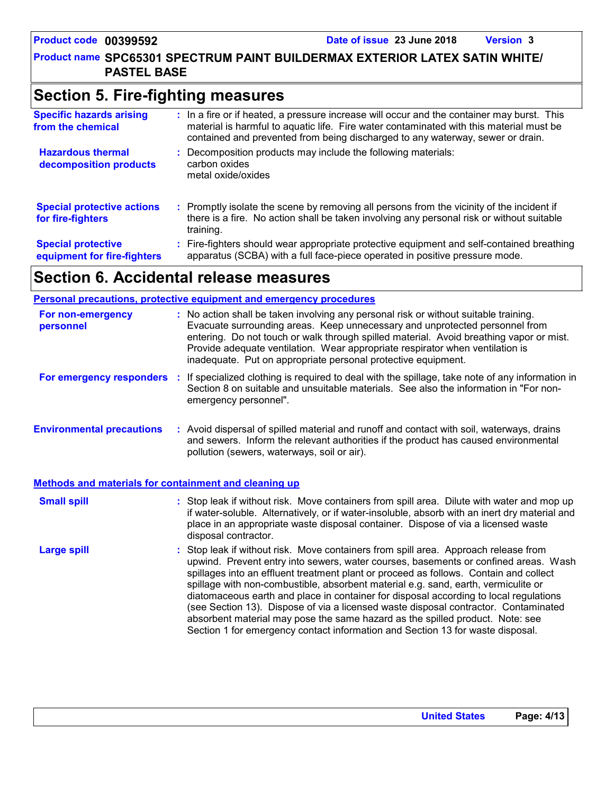### **Section 5. Fire-fighting measures**

| <b>Specific hazards arising</b><br>from the chemical     | : In a fire or if heated, a pressure increase will occur and the container may burst. This<br>material is harmful to aquatic life. Fire water contaminated with this material must be<br>contained and prevented from being discharged to any waterway, sewer or drain. |
|----------------------------------------------------------|-------------------------------------------------------------------------------------------------------------------------------------------------------------------------------------------------------------------------------------------------------------------------|
| <b>Hazardous thermal</b><br>decomposition products       | Decomposition products may include the following materials:<br>carbon oxides<br>metal oxide/oxides                                                                                                                                                                      |
| <b>Special protective actions</b><br>for fire-fighters   | : Promptly isolate the scene by removing all persons from the vicinity of the incident if<br>there is a fire. No action shall be taken involving any personal risk or without suitable<br>training.                                                                     |
| <b>Special protective</b><br>equipment for fire-fighters | : Fire-fighters should wear appropriate protective equipment and self-contained breathing<br>apparatus (SCBA) with a full face-piece operated in positive pressure mode.                                                                                                |

### **Section 6. Accidental release measures**

|                                                       | <b>Personal precautions, protective equipment and emergency procedures</b>                                                                                                                                                                                                                                                                                                                                       |
|-------------------------------------------------------|------------------------------------------------------------------------------------------------------------------------------------------------------------------------------------------------------------------------------------------------------------------------------------------------------------------------------------------------------------------------------------------------------------------|
| For non-emergency<br>personnel                        | : No action shall be taken involving any personal risk or without suitable training.<br>Evacuate surrounding areas. Keep unnecessary and unprotected personnel from<br>entering. Do not touch or walk through spilled material. Avoid breathing vapor or mist.<br>Provide adequate ventilation. Wear appropriate respirator when ventilation is<br>inadequate. Put on appropriate personal protective equipment. |
| For emergency responders                              | : If specialized clothing is required to deal with the spillage, take note of any information in<br>Section 8 on suitable and unsuitable materials. See also the information in "For non-<br>emergency personnel".                                                                                                                                                                                               |
| <b>Environmental precautions</b>                      | : Avoid dispersal of spilled material and runoff and contact with soil, waterways, drains<br>and sewers. Inform the relevant authorities if the product has caused environmental<br>pollution (sewers, waterways, soil or air).                                                                                                                                                                                  |
| Methods and materials for containment and cleaning up |                                                                                                                                                                                                                                                                                                                                                                                                                  |

#### Stop leak if without risk. Move containers from spill area. Dilute with water and mop up if water-soluble. Alternatively, or if water-insoluble, absorb with an inert dry material and **Small spill :**

Stop leak if without risk. Move containers from spill area. Approach release from upwind. Prevent entry into sewers, water courses, basements or confined areas. Wash spillages into an effluent treatment plant or proceed as follows. Contain and collect spillage with non-combustible, absorbent material e.g. sand, earth, vermiculite or diatomaceous earth and place in container for disposal according to local regulations (see Section 13). Dispose of via a licensed waste disposal contractor. Contaminated absorbent material may pose the same hazard as the spilled product. Note: see Section 1 for emergency contact information and Section 13 for waste disposal. **Large spill :** place in an appropriate waste disposal container. Dispose of via a licensed waste disposal contractor.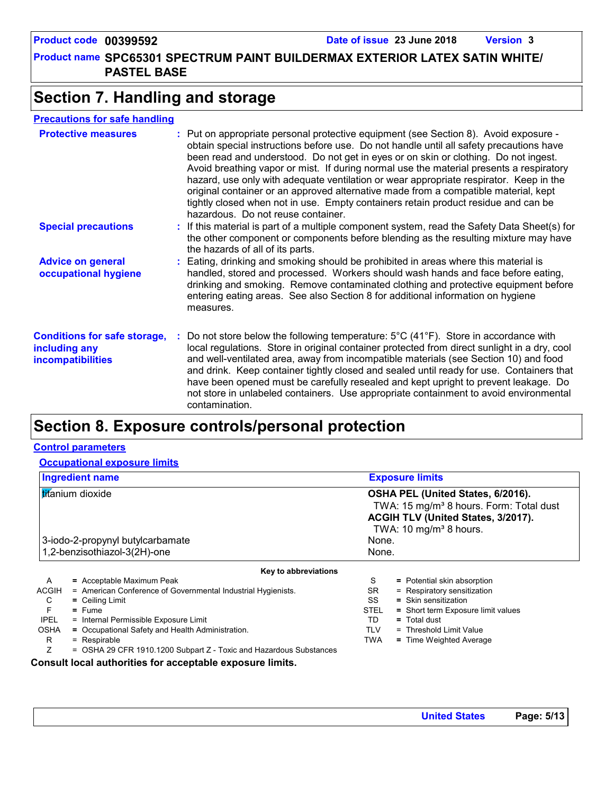**Product name SPC65301 SPECTRUM PAINT BUILDERMAX EXTERIOR LATEX SATIN WHITE/ PASTEL BASE**

### **Section 7. Handling and storage**

#### **Precautions for safe handling**

| <b>Protective measures</b>                                                       | : Put on appropriate personal protective equipment (see Section 8). Avoid exposure -<br>obtain special instructions before use. Do not handle until all safety precautions have<br>been read and understood. Do not get in eyes or on skin or clothing. Do not ingest.<br>Avoid breathing vapor or mist. If during normal use the material presents a respiratory<br>hazard, use only with adequate ventilation or wear appropriate respirator. Keep in the<br>original container or an approved alternative made from a compatible material, kept<br>tightly closed when not in use. Empty containers retain product residue and can be<br>hazardous. Do not reuse container. |
|----------------------------------------------------------------------------------|--------------------------------------------------------------------------------------------------------------------------------------------------------------------------------------------------------------------------------------------------------------------------------------------------------------------------------------------------------------------------------------------------------------------------------------------------------------------------------------------------------------------------------------------------------------------------------------------------------------------------------------------------------------------------------|
| <b>Special precautions</b>                                                       | : If this material is part of a multiple component system, read the Safety Data Sheet(s) for<br>the other component or components before blending as the resulting mixture may have<br>the hazards of all of its parts.                                                                                                                                                                                                                                                                                                                                                                                                                                                        |
| <b>Advice on general</b><br>occupational hygiene                                 | : Eating, drinking and smoking should be prohibited in areas where this material is<br>handled, stored and processed. Workers should wash hands and face before eating,<br>drinking and smoking. Remove contaminated clothing and protective equipment before<br>entering eating areas. See also Section 8 for additional information on hygiene<br>measures.                                                                                                                                                                                                                                                                                                                  |
| <b>Conditions for safe storage,</b><br>including any<br><b>incompatibilities</b> | Do not store below the following temperature: $5^{\circ}$ C (41 <sup>°</sup> F). Store in accordance with<br>local regulations. Store in original container protected from direct sunlight in a dry, cool<br>and well-ventilated area, away from incompatible materials (see Section 10) and food<br>and drink. Keep container tightly closed and sealed until ready for use. Containers that<br>have been opened must be carefully resealed and kept upright to prevent leakage. Do<br>not store in unlabeled containers. Use appropriate containment to avoid environmental<br>contamination.                                                                                |

## **Section 8. Exposure controls/personal protection**

#### **Control parameters**

| <b>Ingredient name</b>                                                    | <b>Exposure limits</b>                                                                                                                                               |  |  |  |
|---------------------------------------------------------------------------|----------------------------------------------------------------------------------------------------------------------------------------------------------------------|--|--|--|
| titanium dioxide                                                          | OSHA PEL (United States, 6/2016).<br>TWA: 15 mg/m <sup>3</sup> 8 hours. Form: Total dust<br>ACGIH TLV (United States, 3/2017).<br>TWA: 10 mg/m <sup>3</sup> 8 hours. |  |  |  |
| 3-iodo-2-propynyl butylcarbamate                                          | None.                                                                                                                                                                |  |  |  |
| 1,2-benzisothiazol-3(2H)-one                                              | None.                                                                                                                                                                |  |  |  |
| Key to abbreviations                                                      |                                                                                                                                                                      |  |  |  |
| A                                                                         | S                                                                                                                                                                    |  |  |  |
| $=$ Acceptable Maximum Peak                                               | = Potential skin absorption                                                                                                                                          |  |  |  |
| <b>ACGIH</b>                                                              | SR.                                                                                                                                                                  |  |  |  |
| = American Conference of Governmental Industrial Hygienists.              | = Respiratory sensitization                                                                                                                                          |  |  |  |
| C                                                                         | SS                                                                                                                                                                   |  |  |  |
| $=$ Ceiling Limit                                                         | = Skin sensitization                                                                                                                                                 |  |  |  |
| F                                                                         | <b>STEL</b>                                                                                                                                                          |  |  |  |
| $=$ Fume                                                                  | = Short term Exposure limit values                                                                                                                                   |  |  |  |
| <b>IPEL</b>                                                               | TD                                                                                                                                                                   |  |  |  |
| = Internal Permissible Exposure Limit                                     | = Total dust                                                                                                                                                         |  |  |  |
| <b>OSHA</b>                                                               | <b>TLV</b>                                                                                                                                                           |  |  |  |
| = Occupational Safety and Health Administration.                          | = Threshold Limit Value                                                                                                                                              |  |  |  |
| R.                                                                        | <b>TWA</b>                                                                                                                                                           |  |  |  |
| $=$ Respirable                                                            | = Time Weighted Average                                                                                                                                              |  |  |  |
| Ζ<br>$=$ OSHA 29 CFR 1910.1200 Subpart Z - Toxic and Hazardous Substances |                                                                                                                                                                      |  |  |  |

**Consult local authorities for acceptable exposure limits.**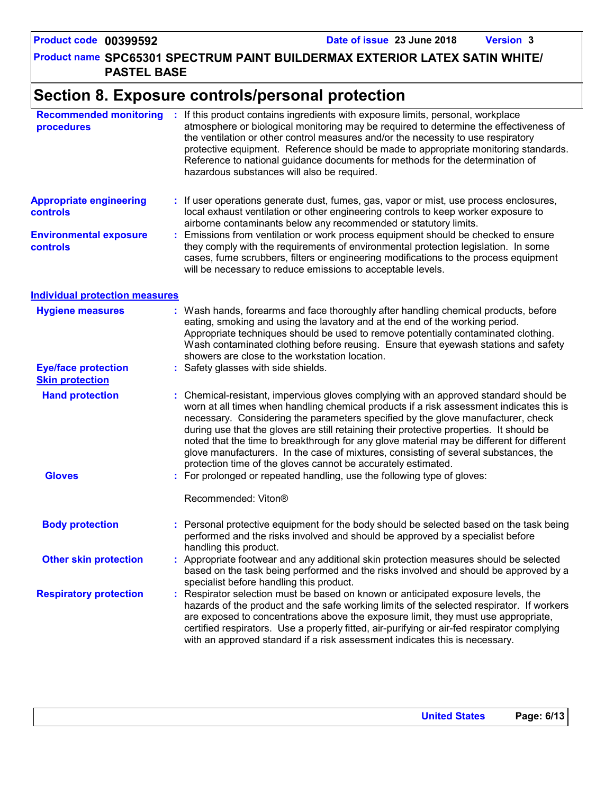#### **Product name SPC65301 SPECTRUM PAINT BUILDERMAX EXTERIOR LATEX SATIN WHITE/ PASTEL BASE**

### **Section 8. Exposure controls/personal protection**

| <b>Recommended monitoring</b><br>procedures          | ÷. | If this product contains ingredients with exposure limits, personal, workplace<br>atmosphere or biological monitoring may be required to determine the effectiveness of<br>the ventilation or other control measures and/or the necessity to use respiratory<br>protective equipment. Reference should be made to appropriate monitoring standards.<br>Reference to national guidance documents for methods for the determination of<br>hazardous substances will also be required.                                                                                                                                    |  |  |
|------------------------------------------------------|----|------------------------------------------------------------------------------------------------------------------------------------------------------------------------------------------------------------------------------------------------------------------------------------------------------------------------------------------------------------------------------------------------------------------------------------------------------------------------------------------------------------------------------------------------------------------------------------------------------------------------|--|--|
| <b>Appropriate engineering</b><br><b>controls</b>    |    | : If user operations generate dust, fumes, gas, vapor or mist, use process enclosures,<br>local exhaust ventilation or other engineering controls to keep worker exposure to<br>airborne contaminants below any recommended or statutory limits.                                                                                                                                                                                                                                                                                                                                                                       |  |  |
| <b>Environmental exposure</b><br>controls            |    | Emissions from ventilation or work process equipment should be checked to ensure<br>they comply with the requirements of environmental protection legislation. In some<br>cases, fume scrubbers, filters or engineering modifications to the process equipment<br>will be necessary to reduce emissions to acceptable levels.                                                                                                                                                                                                                                                                                          |  |  |
| <b>Individual protection measures</b>                |    |                                                                                                                                                                                                                                                                                                                                                                                                                                                                                                                                                                                                                        |  |  |
| <b>Hygiene measures</b>                              |    | Wash hands, forearms and face thoroughly after handling chemical products, before<br>eating, smoking and using the lavatory and at the end of the working period.<br>Appropriate techniques should be used to remove potentially contaminated clothing.<br>Wash contaminated clothing before reusing. Ensure that eyewash stations and safety<br>showers are close to the workstation location.                                                                                                                                                                                                                        |  |  |
| <b>Eye/face protection</b><br><b>Skin protection</b> |    | Safety glasses with side shields.                                                                                                                                                                                                                                                                                                                                                                                                                                                                                                                                                                                      |  |  |
| <b>Hand protection</b>                               |    | : Chemical-resistant, impervious gloves complying with an approved standard should be<br>worn at all times when handling chemical products if a risk assessment indicates this is<br>necessary. Considering the parameters specified by the glove manufacturer, check<br>during use that the gloves are still retaining their protective properties. It should be<br>noted that the time to breakthrough for any glove material may be different for different<br>glove manufacturers. In the case of mixtures, consisting of several substances, the<br>protection time of the gloves cannot be accurately estimated. |  |  |
| <b>Gloves</b>                                        |    | For prolonged or repeated handling, use the following type of gloves:                                                                                                                                                                                                                                                                                                                                                                                                                                                                                                                                                  |  |  |
|                                                      |    | Recommended: Viton®                                                                                                                                                                                                                                                                                                                                                                                                                                                                                                                                                                                                    |  |  |
| <b>Body protection</b>                               |    | : Personal protective equipment for the body should be selected based on the task being<br>performed and the risks involved and should be approved by a specialist before<br>handling this product.                                                                                                                                                                                                                                                                                                                                                                                                                    |  |  |
| <b>Other skin protection</b>                         |    | Appropriate footwear and any additional skin protection measures should be selected<br>based on the task being performed and the risks involved and should be approved by a<br>specialist before handling this product.                                                                                                                                                                                                                                                                                                                                                                                                |  |  |
| <b>Respiratory protection</b>                        |    | Respirator selection must be based on known or anticipated exposure levels, the<br>hazards of the product and the safe working limits of the selected respirator. If workers<br>are exposed to concentrations above the exposure limit, they must use appropriate,<br>certified respirators. Use a properly fitted, air-purifying or air-fed respirator complying<br>with an approved standard if a risk assessment indicates this is necessary.                                                                                                                                                                       |  |  |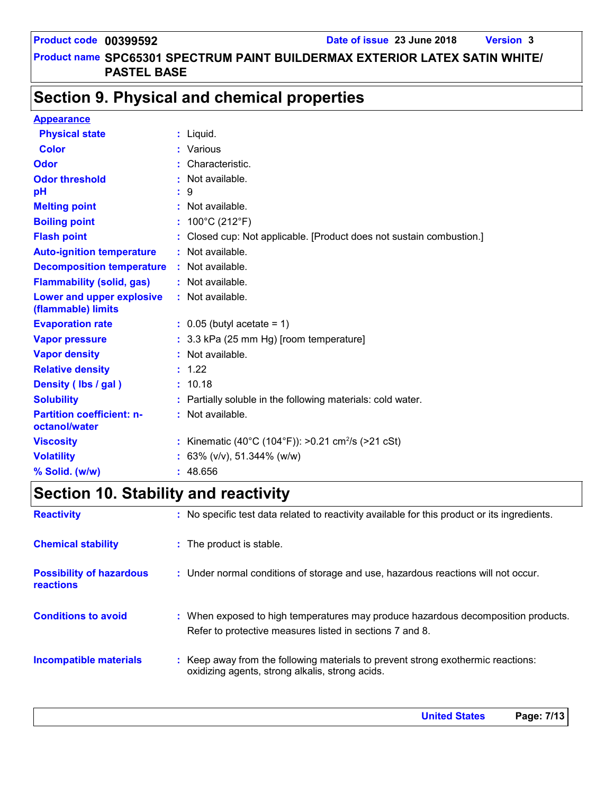### **Section 9. Physical and chemical properties**

| <b>Appearance</b>                                 |                                                                      |
|---------------------------------------------------|----------------------------------------------------------------------|
| <b>Physical state</b>                             | $:$ Liquid.                                                          |
| <b>Color</b>                                      | : Various                                                            |
| <b>Odor</b>                                       | Characteristic.                                                      |
| <b>Odor threshold</b>                             | : Not available.                                                     |
| рH                                                | : 9                                                                  |
| <b>Melting point</b>                              | : Not available.                                                     |
| <b>Boiling point</b>                              | : $100^{\circ}$ C (212 $^{\circ}$ F)                                 |
| <b>Flash point</b>                                | : Closed cup: Not applicable. [Product does not sustain combustion.] |
| <b>Auto-ignition temperature</b>                  | : Not available.                                                     |
| <b>Decomposition temperature</b>                  | : Not available.                                                     |
| <b>Flammability (solid, gas)</b>                  | : Not available.                                                     |
| Lower and upper explosive<br>(flammable) limits   | : Not available.                                                     |
| <b>Evaporation rate</b>                           | $\therefore$ 0.05 (butyl acetate = 1)                                |
| <b>Vapor pressure</b>                             | : 3.3 kPa (25 mm Hg) [room temperature]                              |
| <b>Vapor density</b>                              | : Not available.                                                     |
| <b>Relative density</b>                           | : 1.22                                                               |
| Density (Ibs / gal)                               | : 10.18                                                              |
| <b>Solubility</b>                                 | : Partially soluble in the following materials: cold water.          |
| <b>Partition coefficient: n-</b><br>octanol/water | : Not available.                                                     |
| <b>Viscosity</b>                                  | : Kinematic (40°C (104°F)): >0.21 cm <sup>2</sup> /s (>21 cSt)       |
| <b>Volatility</b>                                 | : 63% ( $v/v$ ), 51.344% ( $w/w$ )                                   |
| % Solid. (w/w)                                    | : 48.656                                                             |

## **Section 10. Stability and reactivity**

| <b>Reactivity</b>                            | : No specific test data related to reactivity available for this product or its ingredients.                                                  |
|----------------------------------------------|-----------------------------------------------------------------------------------------------------------------------------------------------|
| <b>Chemical stability</b>                    | : The product is stable.                                                                                                                      |
| <b>Possibility of hazardous</b><br>reactions | : Under normal conditions of storage and use, hazardous reactions will not occur.                                                             |
| <b>Conditions to avoid</b>                   | : When exposed to high temperatures may produce hazardous decomposition products.<br>Refer to protective measures listed in sections 7 and 8. |
| Incompatible materials                       | : Keep away from the following materials to prevent strong exothermic reactions:<br>oxidizing agents, strong alkalis, strong acids.           |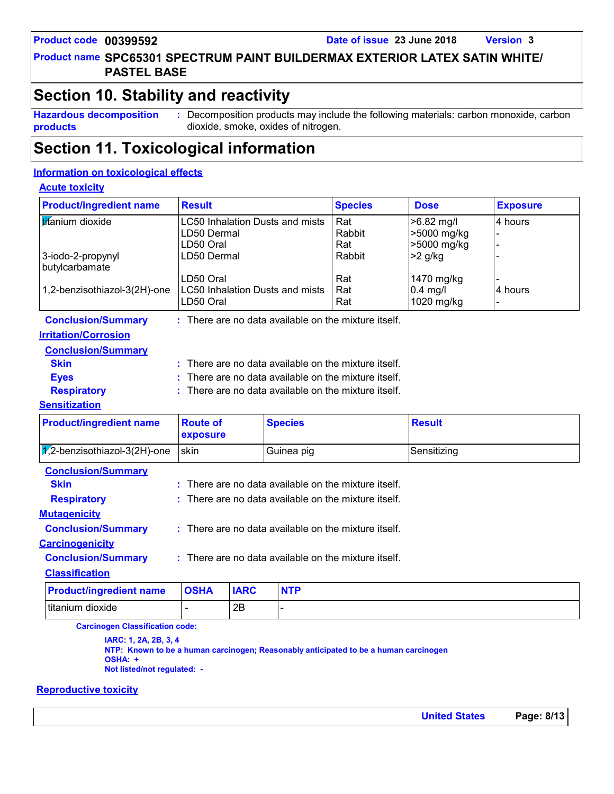### **Product name SPC65301 SPECTRUM PAINT BUILDERMAX EXTERIOR LATEX SATIN WHITE/ PASTEL BASE**

### **Section 10. Stability and reactivity**

**Hazardous decomposition products**

**:** Decomposition products may include the following materials: carbon monoxide, carbon dioxide, smoke, oxides of nitrogen.

### **Section 11. Toxicological information**

#### **Information on toxicological effects**

#### **Acute toxicity**

| <b>Product/ingredient name</b>       | <b>Result</b>                                                      |                                                    | <b>Species</b>       | <b>Dose</b>                                | <b>Exposure</b> |  |
|--------------------------------------|--------------------------------------------------------------------|----------------------------------------------------|----------------------|--------------------------------------------|-----------------|--|
| titanium dioxide                     | <b>LC50 Inhalation Dusts and mists</b><br>LD50 Dermal<br>LD50 Oral |                                                    | Rat<br>Rabbit<br>Rat | $>6.82$ mg/l<br>>5000 mg/kg<br>>5000 mg/kg | 4 hours         |  |
| 3-iodo-2-propynyl<br>butylcarbamate  | LD50 Dermal                                                        |                                                    | Rabbit               | $>2$ g/kg                                  |                 |  |
| 1,2-benzisothiazol-3(2H)-one         | LD50 Oral<br><b>LC50 Inhalation Dusts and mists</b><br>LD50 Oral   |                                                    | Rat<br>Rat<br>Rat    | 1470 mg/kg<br>$0.4$ mg/l<br>1020 mg/kg     | 4 hours         |  |
| <b>Conclusion/Summary</b>            | : There are no data available on the mixture itself.               |                                                    |                      |                                            |                 |  |
| <b>Irritation/Corrosion</b>          |                                                                    |                                                    |                      |                                            |                 |  |
| <b>Conclusion/Summary</b>            |                                                                    |                                                    |                      |                                            |                 |  |
| <b>Skin</b>                          | There are no data available on the mixture itself.                 |                                                    |                      |                                            |                 |  |
| <b>Eyes</b>                          |                                                                    | There are no data available on the mixture itself. |                      |                                            |                 |  |
| <b>Respiratory</b>                   | $:$ There are no data available on the mixture itself.             |                                                    |                      |                                            |                 |  |
| <b>Sensitization</b>                 |                                                                    |                                                    |                      |                                            |                 |  |
| <b>Product/ingredient name</b>       | <b>Route of</b><br>exposure                                        | <b>Species</b>                                     |                      | <b>Result</b>                              |                 |  |
| $\sqrt{2}$ -benzisothiazol-3(2H)-one | skin                                                               | Guinea pig                                         |                      | Sensitizing                                |                 |  |
| <b>Conclusion/Summary</b>            |                                                                    |                                                    |                      |                                            |                 |  |
| <b>Skin</b>                          | There are no data available on the mixture itself.                 |                                                    |                      |                                            |                 |  |
| <b>Respiratory</b>                   | There are no data available on the mixture itself.                 |                                                    |                      |                                            |                 |  |
| <b>Mutagenicity</b>                  |                                                                    |                                                    |                      |                                            |                 |  |
| <b>Conclusion/Summary</b>            | There are no data available on the mixture itself.                 |                                                    |                      |                                            |                 |  |
| <b>Carcinogenicity</b>               |                                                                    |                                                    |                      |                                            |                 |  |

#### **Conclusion/Summary :** : There are no data available on the mixture itself.

#### **Classification**

| <b>Product/ingredient name OSHA</b> | <b>IARC</b> | <b>NTP</b> |
|-------------------------------------|-------------|------------|
| titanium dioxide                    | ΩE          |            |

**Carcinogen Classification code:**

**IARC: 1, 2A, 2B, 3, 4 NTP: Known to be a human carcinogen; Reasonably anticipated to be a human carcinogen OSHA: + Not listed/not regulated: -**

#### **Reproductive toxicity**

**United States Page: 8/13**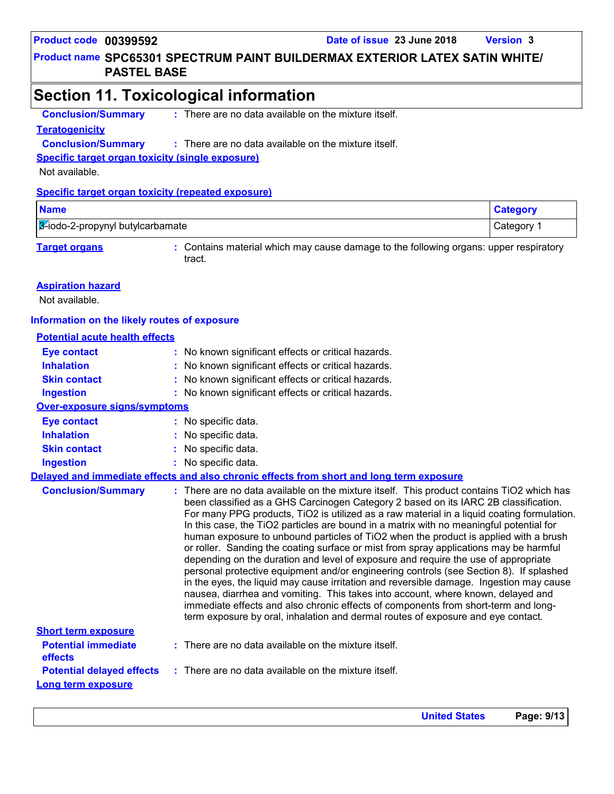#### **Product name SPC65301 SPECTRUM PAINT BUILDERMAX EXTERIOR LATEX SATIN WHITE/ PASTEL BASE**

### **Section 11. Toxicological information**

**Conclusion/Summary :** There are no data available on the mixture itself.

#### **Teratogenicity**

**Conclusion/Summary :** : There are no data available on the mixture itself.

**Specific target organ toxicity (single exposure)**

Not available.

#### **Specific target organ toxicity (repeated exposure)**

| <b>Name</b>                                                                                                                                    | tegory     |
|------------------------------------------------------------------------------------------------------------------------------------------------|------------|
| 3-iodo-2-propynyl butylcarbamate                                                                                                               | ∵ategory ت |
| the contract of the contract of the contract of<br>the contract of the contract of the contract of the contract of the contract of<br>________ |            |

**Target organs :** Contains material which may cause damage to the following organs: upper respiratory tract.

#### **Aspiration hazard**

Not available.

#### **Information on the likely routes of exposure**

#### **Potential acute health effects**

| <b>Eye contact</b>                                            | : No known significant effects or critical hazards.                                                                                                                                                                                                                                                                                                                                                                                                                                                                                                                                                                                                                                                                                                                                                                                                                                                                                                                                                                                                                                                 |
|---------------------------------------------------------------|-----------------------------------------------------------------------------------------------------------------------------------------------------------------------------------------------------------------------------------------------------------------------------------------------------------------------------------------------------------------------------------------------------------------------------------------------------------------------------------------------------------------------------------------------------------------------------------------------------------------------------------------------------------------------------------------------------------------------------------------------------------------------------------------------------------------------------------------------------------------------------------------------------------------------------------------------------------------------------------------------------------------------------------------------------------------------------------------------------|
| <b>Inhalation</b>                                             | : No known significant effects or critical hazards.                                                                                                                                                                                                                                                                                                                                                                                                                                                                                                                                                                                                                                                                                                                                                                                                                                                                                                                                                                                                                                                 |
| <b>Skin contact</b>                                           | : No known significant effects or critical hazards.                                                                                                                                                                                                                                                                                                                                                                                                                                                                                                                                                                                                                                                                                                                                                                                                                                                                                                                                                                                                                                                 |
| <b>Ingestion</b>                                              | : No known significant effects or critical hazards.                                                                                                                                                                                                                                                                                                                                                                                                                                                                                                                                                                                                                                                                                                                                                                                                                                                                                                                                                                                                                                                 |
| <b>Over-exposure signs/symptoms</b>                           |                                                                                                                                                                                                                                                                                                                                                                                                                                                                                                                                                                                                                                                                                                                                                                                                                                                                                                                                                                                                                                                                                                     |
| <b>Eye contact</b>                                            | : No specific data.                                                                                                                                                                                                                                                                                                                                                                                                                                                                                                                                                                                                                                                                                                                                                                                                                                                                                                                                                                                                                                                                                 |
| <b>Inhalation</b>                                             | : No specific data.                                                                                                                                                                                                                                                                                                                                                                                                                                                                                                                                                                                                                                                                                                                                                                                                                                                                                                                                                                                                                                                                                 |
| <b>Skin contact</b>                                           | : No specific data.                                                                                                                                                                                                                                                                                                                                                                                                                                                                                                                                                                                                                                                                                                                                                                                                                                                                                                                                                                                                                                                                                 |
| <b>Ingestion</b>                                              | : No specific data.                                                                                                                                                                                                                                                                                                                                                                                                                                                                                                                                                                                                                                                                                                                                                                                                                                                                                                                                                                                                                                                                                 |
|                                                               | Delayed and immediate effects and also chronic effects from short and long term exposure                                                                                                                                                                                                                                                                                                                                                                                                                                                                                                                                                                                                                                                                                                                                                                                                                                                                                                                                                                                                            |
| <b>Conclusion/Summary</b>                                     | : There are no data available on the mixture itself. This product contains TiO2 which has<br>been classified as a GHS Carcinogen Category 2 based on its IARC 2B classification.<br>For many PPG products, TiO2 is utilized as a raw material in a liquid coating formulation.<br>In this case, the TiO2 particles are bound in a matrix with no meaningful potential for<br>human exposure to unbound particles of TiO2 when the product is applied with a brush<br>or roller. Sanding the coating surface or mist from spray applications may be harmful<br>depending on the duration and level of exposure and require the use of appropriate<br>personal protective equipment and/or engineering controls (see Section 8). If splashed<br>in the eyes, the liquid may cause irritation and reversible damage. Ingestion may cause<br>nausea, diarrhea and vomiting. This takes into account, where known, delayed and<br>immediate effects and also chronic effects of components from short-term and long-<br>term exposure by oral, inhalation and dermal routes of exposure and eye contact. |
| <b>Short term exposure</b><br><b>Potential immediate</b>      | $:$ There are no data available on the mixture itself.                                                                                                                                                                                                                                                                                                                                                                                                                                                                                                                                                                                                                                                                                                                                                                                                                                                                                                                                                                                                                                              |
| effects                                                       |                                                                                                                                                                                                                                                                                                                                                                                                                                                                                                                                                                                                                                                                                                                                                                                                                                                                                                                                                                                                                                                                                                     |
| <b>Potential delayed effects</b><br><b>Long term exposure</b> | $:$ There are no data available on the mixture itself.                                                                                                                                                                                                                                                                                                                                                                                                                                                                                                                                                                                                                                                                                                                                                                                                                                                                                                                                                                                                                                              |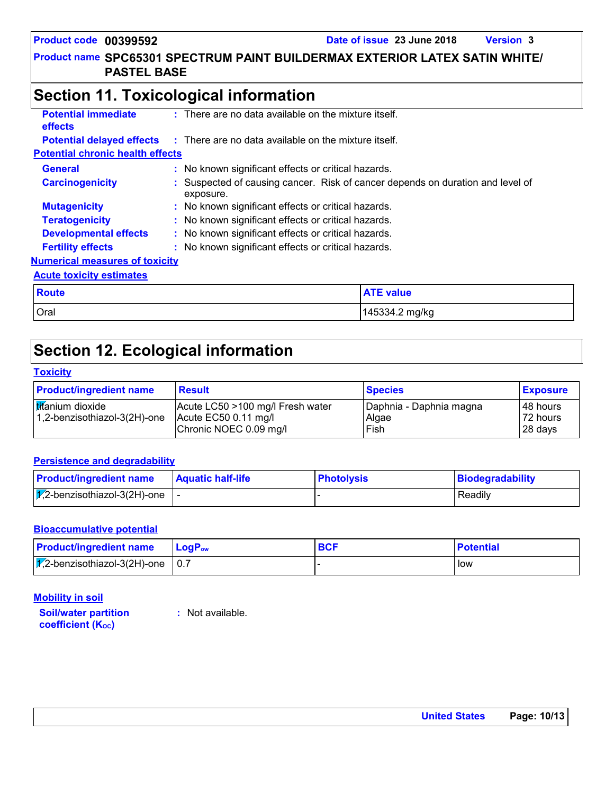## **Section 11. Toxicological information**

| <b>Potential immediate</b><br>effects   | $\pm$ There are no data available on the mixture itself.                                    |  |  |
|-----------------------------------------|---------------------------------------------------------------------------------------------|--|--|
| <b>Potential delayed effects</b>        | : There are no data available on the mixture itself.                                        |  |  |
| <b>Potential chronic health effects</b> |                                                                                             |  |  |
| <b>General</b>                          | : No known significant effects or critical hazards.                                         |  |  |
| <b>Carcinogenicity</b>                  | : Suspected of causing cancer. Risk of cancer depends on duration and level of<br>exposure. |  |  |
| <b>Mutagenicity</b>                     | : No known significant effects or critical hazards.                                         |  |  |
| <b>Teratogenicity</b>                   | : No known significant effects or critical hazards.                                         |  |  |
| <b>Developmental effects</b>            | : No known significant effects or critical hazards.                                         |  |  |
| <b>Fertility effects</b>                | : No known significant effects or critical hazards.                                         |  |  |
| <b>Numerical measures of toxicity</b>   |                                                                                             |  |  |
| <b>Acute toxicity estimates</b>         |                                                                                             |  |  |
| <b>Route</b>                            | <b>ATE value</b>                                                                            |  |  |
| Oral                                    | 145334.2 mg/kg                                                                              |  |  |

### **Section 12. Ecological information**

#### **Toxicity**

| <b>Product/ingredient name</b>                   | <b>Result</b>                                                                              | <b>Species</b>                           | <b>Exposure</b>                  |
|--------------------------------------------------|--------------------------------------------------------------------------------------------|------------------------------------------|----------------------------------|
| titanium dioxide<br>1,2-benzisothiazol-3(2H)-one | Acute LC50 >100 mg/l Fresh water<br>$\vert$ Acute EC50 0.11 mg/l<br>Chronic NOEC 0.09 mg/l | Daphnia - Daphnia magna<br>Algae<br>Fish | 148 hours<br>72 hours<br>28 days |

#### **Persistence and degradability**

| <b>Product/ingredient name</b>                   | <b>Aquatic half-life</b> | <b>Photolysis</b> | Biodegradability |
|--------------------------------------------------|--------------------------|-------------------|------------------|
| $\sqrt{7}$ ,2-benzisothiazol-3(2H)-one $\vert$ - |                          |                   | Readily          |

#### **Bioaccumulative potential**

| <b>Product/ingredient name</b>             | <b>LogP</b> <sub>ow</sub> | BCF | <b>Potential</b> |
|--------------------------------------------|---------------------------|-----|------------------|
| $\sqrt{V}$ ,2-benzisothiazol-3(2H)-one 0.7 |                           |     | low              |

**Mobility in soil**

**Soil/water partition coefficient (K**<sub>oc</sub>)

**:** Not available.

**United States Page: 10/13**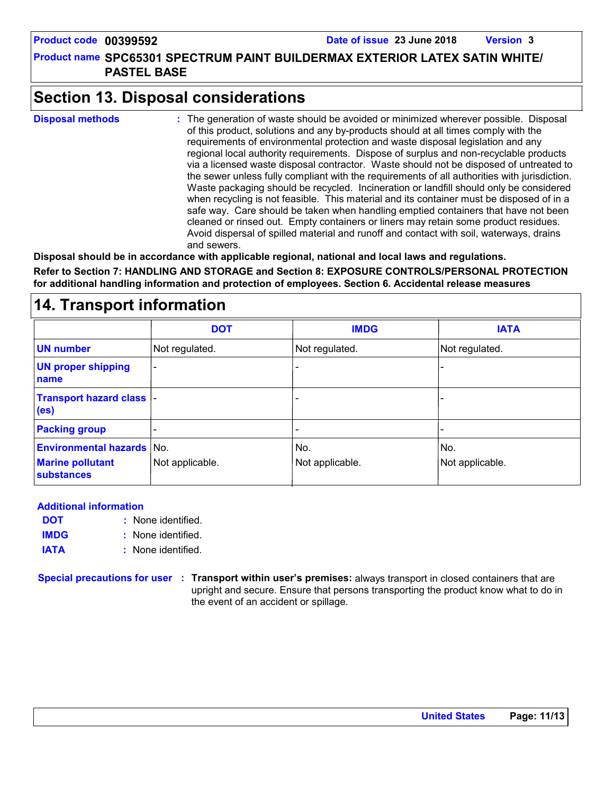**Product name SPC65301 SPECTRUM PAINT BUILDERMAX EXTERIOR LATEX SATIN WHITE/ PASTEL BASE**

### **Section 13. Disposal considerations**

The generation of waste should be avoided or minimized wherever possible. Disposal of this product, solutions and any by-products should at all times comply with the requirements of environmental protection and waste disposal legislation and any regional local authority requirements. Dispose of surplus and non-recyclable products via a licensed waste disposal contractor. Waste should not be disposed of untreated to the sewer unless fully compliant with the requirements of all authorities with jurisdiction. Waste packaging should be recycled. Incineration or landfill should only be considered when recycling is not feasible. This material and its container must be disposed of in a safe way. Care should be taken when handling emptied containers that have not been cleaned or rinsed out. Empty containers or liners may retain some product residues. Avoid dispersal of spilled material and runoff and contact with soil, waterways, drains and sewers. **Disposal methods :**

**Disposal should be in accordance with applicable regional, national and local laws and regulations.**

**Refer to Section 7: HANDLING AND STORAGE and Section 8: EXPOSURE CONTROLS/PERSONAL PROTECTION for additional handling information and protection of employees. Section 6. Accidental release measures**

### **14. Transport information**

|                                                       | <b>DOT</b>               | <b>IMDG</b>     | <b>IATA</b>     |
|-------------------------------------------------------|--------------------------|-----------------|-----------------|
| <b>UN number</b>                                      | Not regulated.           | Not regulated.  | Not regulated.  |
| <b>UN proper shipping</b><br>name                     | $\overline{\phantom{a}}$ |                 |                 |
| <b>Transport hazard class  -</b><br>(e <sub>s</sub> ) |                          |                 |                 |
| <b>Packing group</b>                                  |                          |                 |                 |
| <b>Environmental hazards No.</b>                      |                          | No.             | No.             |
| <b>Marine pollutant</b><br><b>substances</b>          | Not applicable.          | Not applicable. | Not applicable. |

#### **Additional information**

- None identified. **: DOT**
- None identified. **: IMDG**
- **IATA :** None identified.

**Special precautions for user Transport within user's premises:** always transport in closed containers that are **:** upright and secure. Ensure that persons transporting the product know what to do in the event of an accident or spillage.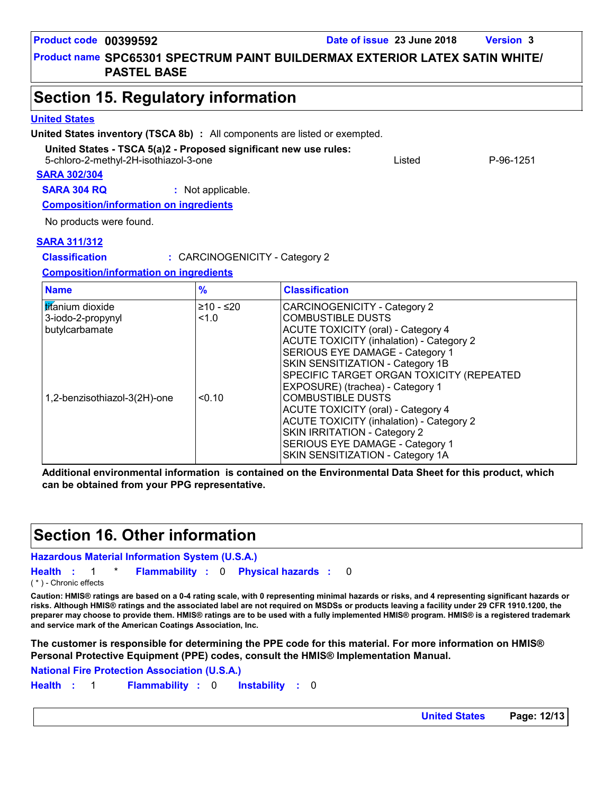|                                                                                                           | <b>United States inventory (TSCA 8b)</b> : All components are listed or exempted. |                                |                                                                                                                                                                                                                                                                                                                 |        |           |
|-----------------------------------------------------------------------------------------------------------|-----------------------------------------------------------------------------------|--------------------------------|-----------------------------------------------------------------------------------------------------------------------------------------------------------------------------------------------------------------------------------------------------------------------------------------------------------------|--------|-----------|
| United States - TSCA 5(a)2 - Proposed significant new use rules:<br>5-chloro-2-methyl-2H-isothiazol-3-one |                                                                                   |                                |                                                                                                                                                                                                                                                                                                                 | Listed | P-96-1251 |
|                                                                                                           | <b>SARA 302/304</b>                                                               |                                |                                                                                                                                                                                                                                                                                                                 |        |           |
|                                                                                                           | <b>SARA 304 RQ</b>                                                                | : Not applicable.              |                                                                                                                                                                                                                                                                                                                 |        |           |
|                                                                                                           | <b>Composition/information on ingredients</b>                                     |                                |                                                                                                                                                                                                                                                                                                                 |        |           |
|                                                                                                           | No products were found.                                                           |                                |                                                                                                                                                                                                                                                                                                                 |        |           |
|                                                                                                           |                                                                                   |                                |                                                                                                                                                                                                                                                                                                                 |        |           |
|                                                                                                           | <b>SARA 311/312</b>                                                               |                                |                                                                                                                                                                                                                                                                                                                 |        |           |
|                                                                                                           | <b>Classification</b>                                                             | : CARCINOGENICITY - Category 2 |                                                                                                                                                                                                                                                                                                                 |        |           |
|                                                                                                           | <b>Composition/information on ingredients</b>                                     |                                |                                                                                                                                                                                                                                                                                                                 |        |           |
|                                                                                                           | <b>Name</b>                                                                       | $\frac{9}{6}$                  | <b>Classification</b>                                                                                                                                                                                                                                                                                           |        |           |
|                                                                                                           | <b>titanium</b> dioxide<br>3-iodo-2-propynyl<br>butylcarbamate                    | $≥10 - ≤20$<br>1.0             | CARCINOGENICITY - Category 2<br><b>COMBUSTIBLE DUSTS</b><br><b>ACUTE TOXICITY (oral) - Category 4</b><br><b>ACUTE TOXICITY (inhalation) - Category 2</b><br>SERIOUS EYE DAMAGE - Category 1<br>SKIN SENSITIZATION - Category 1B<br>SPECIFIC TARGET ORGAN TOXICITY (REPEATED<br>EXPOSURE) (trachea) - Category 1 |        |           |
|                                                                                                           | 1,2-benzisothiazol-3(2H)-one                                                      | < 0.10                         | <b>COMBUSTIBLE DUSTS</b><br><b>ACUTE TOXICITY (oral) - Category 4</b><br><b>ACUTE TOXICITY (inhalation) - Category 2</b>                                                                                                                                                                                        |        |           |

**Additional environmental information is contained on the Environmental Data Sheet for this product, which can be obtained from your PPG representative.**

SKIN IRRITATION - Category 2 SERIOUS EYE DAMAGE - Category 1 SKIN SENSITIZATION - Category 1A

### **Section 16. Other information**

**Hazardous Material Information System (U.S.A.)**

**Health** : 1 \* **Flammability** : 0 **Physical hazards** : 0 0

( \* ) - Chronic effects

**Caution: HMIS® ratings are based on a 0-4 rating scale, with 0 representing minimal hazards or risks, and 4 representing significant hazards or risks. Although HMIS® ratings and the associated label are not required on MSDSs or products leaving a facility under 29 CFR 1910.1200, the preparer may choose to provide them. HMIS® ratings are to be used with a fully implemented HMIS® program. HMIS® is a registered trademark and service mark of the American Coatings Association, Inc.**

**The customer is responsible for determining the PPE code for this material. For more information on HMIS® Personal Protective Equipment (PPE) codes, consult the HMIS® Implementation Manual.**

**National Fire Protection Association (U.S.A.)**

**Instability** : 0 **Health**: 1 **Flammability**: 0 **Instability**: 0

**Product name SPC65301 SPECTRUM PAINT BUILDERMAX EXTERIOR LATEX SATIN WHITE/** 

**PASTEL BASE**

### **Section 15. Regulatory information**

#### **United States**